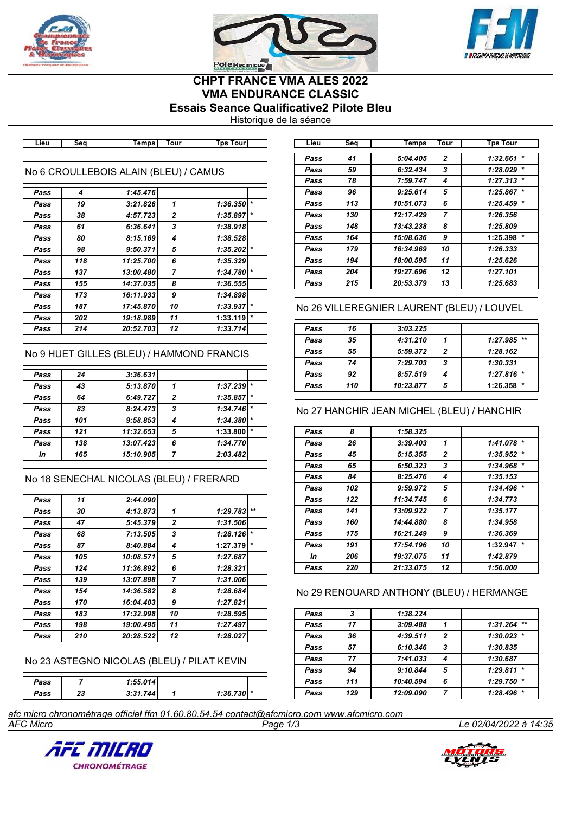





# **CHPT FRANCE VMA ALES 2022 VMA ENDURANCE CLASSIC Essais Seance Qualificative2 Pilote Bleu**

Historique de la séance

**Lieu Seq Temps Tour Tps Tour Lieu Seq Temps Tour Tps Tour**

### No 6 CROULLEBOIS ALAIN (BLEU) / CAMUS

| Pass | 4   | 1:45.476  |                |          |         |
|------|-----|-----------|----------------|----------|---------|
| Pass | 19  | 3:21.826  | 1              | 1:36.350 | $\star$ |
| Pass | 38  | 4:57.723  | 2              | 1:35.897 | $\star$ |
| Pass | 61  | 6:36.641  | 3              | 1:38.918 |         |
| Pass | 80  | 8:15.169  | 4              | 1:38.528 |         |
| Pass | 98  | 9:50.371  | 5              | 1:35.202 | $\star$ |
| Pass | 118 | 11:25.700 | 6              | 1:35.329 |         |
| Pass | 137 | 13:00.480 | $\overline{ }$ | 1:34.780 | $\star$ |
| Pass | 155 | 14:37.035 | 8              | 1:36.555 |         |
| Pass | 173 | 16:11.933 | 9              | 1:34.898 |         |
| Pass | 187 | 17:45.870 | 10             | 1:33.937 | $\star$ |
| Pass | 202 | 19:18.989 | 11             | 1:33.119 | $\star$ |
| Pass | 214 | 20:52.703 | 12             | 1:33.714 |         |

### No 9 HUET GILLES (BLEU) / HAMMOND FRANCIS

| Pass | 24  | 3:36.631  |                |          |         |
|------|-----|-----------|----------------|----------|---------|
| Pass | 43  | 5:13.870  |                | 1:37.239 | $\star$ |
| Pass | 64  | 6:49.727  | $\overline{2}$ | 1:35.857 | $\star$ |
| Pass | 83  | 8:24.473  | 3              | 1:34.746 | $\star$ |
| Pass | 101 | 9:58.853  | 4              | 1:34.380 | $\star$ |
| Pass | 121 | 11:32.653 | 5              | 1:33.800 | $\star$ |
| Pass | 138 | 13:07.423 | 6              | 1:34.770 |         |
| In   | 165 | 15:10.905 | 7              | 2:03.482 |         |
|      |     |           |                |          |         |

## No 18 SENECHAL NICOLAS (BLEU) / FRERARD

| Pass | 11  | 2:44.090  |                |          |         |
|------|-----|-----------|----------------|----------|---------|
| Pass | 30  | 4:13.873  | 1              | 1:29.783 | $+ +$   |
| Pass | 47  | 5:45.379  | $\overline{2}$ | 1:31.506 |         |
| Pass | 68  | 7:13.505  | 3              | 1:28.126 | $\star$ |
| Pass | 87  | 8:40.884  | 4              | 1:27.379 | $\star$ |
| Pass | 105 | 10:08.571 | 5              | 1:27.687 |         |
| Pass | 124 | 11:36.892 | 6              | 1:28.321 |         |
| Pass | 139 | 13:07.898 | 7              | 1:31.006 |         |
| Pass | 154 | 14:36.582 | 8              | 1:28.684 |         |
| Pass | 170 | 16:04.403 | 9              | 1:27.821 |         |
| Pass | 183 | 17:32.998 | 10             | 1:28.595 |         |
| Pass | 198 | 19:00.495 | 11             | 1:27.497 |         |
| Pass | 210 | 20:28.522 | 12             | 1:28.027 |         |
|      |     |           |                |          |         |

No 23 ASTEGNO NICOLAS (BLEU) / PILAT KEVIN

| Pass |    | 1:55.014 |              |  |
|------|----|----------|--------------|--|
| Pass | 23 | 3:31.744 | $1:36.730$ * |  |

| Lieu | Sea | Temps     | Tour           | <b>Tps Tour</b> |         |
|------|-----|-----------|----------------|-----------------|---------|
| Pass | 41  | 5:04.405  | $\mathbf{2}$   | 1:32.661        | $\star$ |
| Pass | 59  | 6:32.434  | 3              | 1:28.029        | $\star$ |
| Pass | 78  | 7:59.747  | 4              | 1:27.313        | $\star$ |
| Pass | 96  | 9:25.614  | 5              | 1:25.867        | $\star$ |
| Pass | 113 | 10:51.073 | 6              | 1:25.459        | $\star$ |
| Pass | 130 | 12:17.429 | $\overline{7}$ | 1:26.356        |         |
| Pass | 148 | 13:43.238 | 8              | 1:25.809        |         |
| Pass | 164 | 15:08.636 | 9              | 1:25.398        | $\star$ |
| Pass | 179 | 16:34.969 | 10             | 1:26.333        |         |
| Pass | 194 | 18:00.595 | 11             | 1:25.626        |         |
| Pass | 204 | 19:27.696 | 12             | 1:27.101        |         |
| Pass | 215 | 20:53.379 | 13             | 1:25.683        |         |

### No 26 VILLEREGNIER LAURENT (BLEU) / LOUVEL

| Pass | 16  | 3:03.225  |   |                |  |
|------|-----|-----------|---|----------------|--|
| Pass | 35  | 4:31.210  |   | $1:27.985$ **  |  |
| Pass | 55  | 5:59.372  | 2 | 1:28.162       |  |
| Pass | 74  | 7:29.703  | 3 | 1:30.331       |  |
| Pass | 92  | 8:57.519  |   | $1:27.816$ *   |  |
| Pass | 110 | 10:23.877 | 5 | $1:26.358$ $*$ |  |

#### No 27 HANCHIR JEAN MICHEL (BLEU) / HANCHIR

| Pass | 8   | 1:58.325  |              |          |         |
|------|-----|-----------|--------------|----------|---------|
| Pass | 26  | 3:39.403  | 1            | 1:41.078 | $\star$ |
| Pass | 45  | 5:15.355  | $\mathbf{2}$ | 1:35.952 | $\star$ |
| Pass | 65  | 6:50.323  | 3            | 1:34.968 | $\star$ |
| Pass | 84  | 8:25.476  | 4            | 1:35.153 |         |
| Pass | 102 | 9:59.972  | 5            | 1:34.496 | $\ast$  |
| Pass | 122 | 11:34.745 | 6            | 1:34.773 |         |
| Pass | 141 | 13:09.922 | 7            | 1:35.177 |         |
| Pass | 160 | 14:44.880 | 8            | 1:34.958 |         |
| Pass | 175 | 16:21.249 | 9            | 1:36.369 |         |
| Pass | 191 | 17:54.196 | 10           | 1:32.947 | $\star$ |
| In   | 206 | 19:37.075 | 11           | 1:42.879 |         |
| Pass | 220 | 21:33.075 | 12           | 1:56.000 |         |

#### No 29 RENOUARD ANTHONY (BLEU) / HERMANGE

| Pass | 3   | 1:38.224  |                |          |         |
|------|-----|-----------|----------------|----------|---------|
| Pass | 17  | 3:09.488  |                | 1:31.264 | $**$    |
| Pass | 36  | 4:39.511  | $\overline{2}$ | 1:30.023 | $\star$ |
| Pass | 57  | 6:10.346  | 3              | 1:30.835 |         |
| Pass | 77  | 7:41.033  | 4              | 1:30.687 |         |
| Pass | 94  | 9:10.844  | 5              | 1:29.811 | $\star$ |
| Pass | 111 | 10:40.594 | 6              | 1:29.750 |         |
| Pass | 129 | 12:09.090 | 7              | 1:28.496 | $\star$ |

*AFC Micro Page 1/3 Le 02/04/2022 à 14:35 afc micro chronométrage officiel ffm 01.60.80.54.54 contact@afcmicro.com www.afcmicro.com*



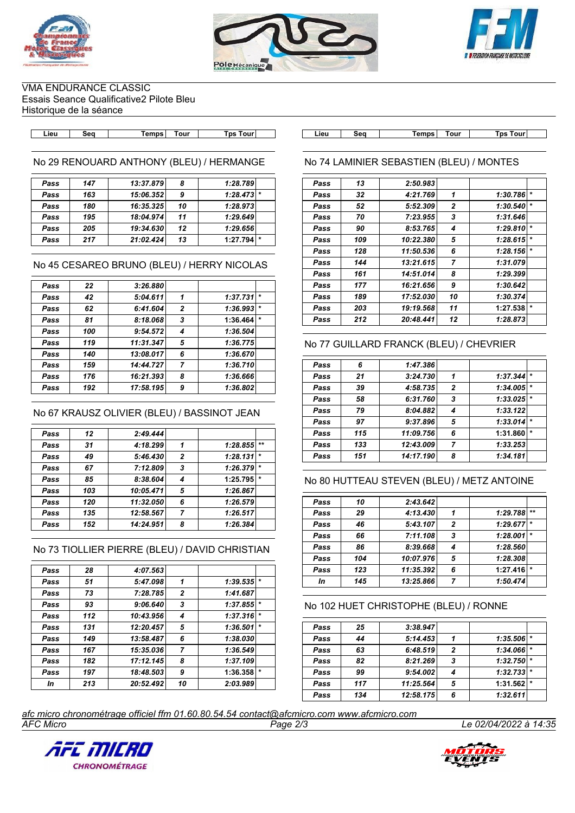





VMA ENDURANCE CLASSIC Essais Seance Qualificative2 Pilote Bleu Historique de la séance

No 29 RENOUARD ANTHONY (BLEU) / HERMANGE

| Pass | 147 | 13:37.879 | 8  | 1:28.789 |
|------|-----|-----------|----|----------|
| Pass | 163 | 15:06.352 | 9  | 1:28.473 |
| Pass | 180 | 16:35.325 | 10 | 1:28.973 |
| Pass | 195 | 18:04.974 | 11 | 1:29.649 |
| Pass | 205 | 19:34.630 | 12 | 1:29.656 |
| Pass | 217 | 21:02.424 | 13 | 1:27.794 |
|      |     |           |    |          |

#### No 45 CESAREO BRUNO (BLEU) / HERRY NICOLAS

| Pass | 22  | 3:26.880  |                |          |        |
|------|-----|-----------|----------------|----------|--------|
| Pass | 42  | 5:04.611  | 1              | 1:37.731 |        |
| Pass | 62  | 6:41.604  | $\overline{2}$ | 1:36.993 | $\ast$ |
| Pass | 81  | 8:18.068  | 3              | 1:36.464 |        |
| Pass | 100 | 9:54.572  | 4              | 1:36.504 |        |
| Pass | 119 | 11:31.347 | 5              | 1:36.775 |        |
| Pass | 140 | 13:08.017 | 6              | 1:36.670 |        |
| Pass | 159 | 14:44.727 | 7              | 1:36.710 |        |
| Pass | 176 | 16:21.393 | 8              | 1:36.666 |        |
| Pass | 192 | 17:58.195 | 9              | 1:36.802 |        |

#### No 67 KRAUSZ OLIVIER (BLEU) / BASSINOT JEAN

| Pass | 12  | 2:49.444  |              |          |         |
|------|-----|-----------|--------------|----------|---------|
| Pass | 31  | 4:18.299  | 1            | 1:28.855 | $***$   |
| Pass | 49  | 5:46.430  | $\mathbf{2}$ | 1:28.131 | $\star$ |
| Pass | 67  | 7:12.809  | 3            | 1:26.379 |         |
| Pass | 85  | 8:38.604  | 4            | 1:25.795 | $\star$ |
| Pass | 103 | 10:05.471 | 5            | 1:26.867 |         |
| Pass | 120 | 11:32.050 | 6            | 1:26.579 |         |
| Pass | 135 | 12:58.567 | 7            | 1:26.517 |         |
| Pass | 152 | 14:24.951 | 8            | 1:26.384 |         |
|      |     |           |              |          |         |

# No 73 TIOLLIER PIERRE (BLEU) / DAVID CHRISTIAN

| 28<br>4:07.563<br>Pass<br>51<br>5:47.098<br>1:39.535<br>1<br>Pass<br>$\mathbf{2}$<br>1:41.687<br>73<br>7:28.785<br>Pass<br>$\star$<br>3<br>1:37.855<br>9:06.640<br>93<br>Pass<br>$\star$<br>112<br>10:43.956<br>1:37.316<br>4<br>Pass<br>$\star$<br>5<br>1:36.501<br>12:20.457<br>131<br>Pass<br>13:58.487<br>6<br>1:38.030<br>149<br>Pass |  |
|--------------------------------------------------------------------------------------------------------------------------------------------------------------------------------------------------------------------------------------------------------------------------------------------------------------------------------------------|--|
|                                                                                                                                                                                                                                                                                                                                            |  |
|                                                                                                                                                                                                                                                                                                                                            |  |
|                                                                                                                                                                                                                                                                                                                                            |  |
|                                                                                                                                                                                                                                                                                                                                            |  |
|                                                                                                                                                                                                                                                                                                                                            |  |
|                                                                                                                                                                                                                                                                                                                                            |  |
|                                                                                                                                                                                                                                                                                                                                            |  |
| 7<br>1:36.549<br>167<br>15:35.036<br>Pass                                                                                                                                                                                                                                                                                                  |  |
| 17:12.145<br>8<br>1:37.109<br>182<br>Pass                                                                                                                                                                                                                                                                                                  |  |
| 9<br>1:36.358<br>197<br>18:48.503<br>Pass                                                                                                                                                                                                                                                                                                  |  |
| 20:52.492<br>213<br>10<br>2:03.989<br>In                                                                                                                                                                                                                                                                                                   |  |

**Lieu Seq Temps Tour Tps Tour Lieu Seq Temps Tour Tps Tour**

## No 74 LAMINIER SEBASTIEN (BLEU) / MONTES

| Pass | 13  | 2:50.983  |                |          |         |
|------|-----|-----------|----------------|----------|---------|
| Pass | 32  | 4:21.769  | 1              | 1:30.786 | $\star$ |
| Pass | 52  | 5:52.309  | $\overline{2}$ | 1:30.540 | $\star$ |
| Pass | 70  | 7:23.955  | 3              | 1:31.646 |         |
| Pass | 90  | 8:53.765  | 4              | 1:29.810 | $\star$ |
| Pass | 109 | 10:22.380 | 5              | 1:28.615 | $\star$ |
| Pass | 128 | 11:50.536 | 6              | 1:28.156 | $\ast$  |
| Pass | 144 | 13:21.615 | 7              | 1:31.079 |         |
| Pass | 161 | 14:51.014 | 8              | 1:29.399 |         |
| Pass | 177 | 16:21.656 | 9              | 1:30.642 |         |
| Pass | 189 | 17:52.030 | 10             | 1:30.374 |         |
| Pass | 203 | 19:19.568 | 11             | 1:27.538 | $\star$ |
| Pass | 212 | 20:48.441 | 12             | 1:28.873 |         |

## No 77 GUILLARD FRANCK (BLEU) / CHEVRIER

| Pass | 6   | 1:47.386  |                |          |         |
|------|-----|-----------|----------------|----------|---------|
| Pass | 21  | 3:24.730  | 1              | 1:37.344 | $\star$ |
| Pass | 39  | 4:58.735  | $\overline{2}$ | 1:34.005 | $\star$ |
| Pass | 58  | 6:31.760  | 3              | 1:33.025 | $\star$ |
| Pass | 79  | 8:04.882  | 4              | 1:33.122 |         |
| Pass | 97  | 9:37.896  | 5              | 1:33.014 | $\star$ |
| Pass | 115 | 11:09.756 | 6              | 1:31.860 | $\star$ |
| Pass | 133 | 12:43.009 | 7              | 1:33.253 |         |
| Pass | 151 | 14:17.190 | 8              | 1:34.181 |         |

## No 80 HUTTEAU STEVEN (BLEU) / METZ ANTOINE

| Pass | 10  | 2:43.642  |                |          |         |
|------|-----|-----------|----------------|----------|---------|
| Pass | 29  | 4:13.430  |                | 1:29.788 | $+ +$   |
| Pass | 46  | 5:43.107  | $\overline{2}$ | 1:29.677 | $\star$ |
| Pass | 66  | 7:11.108  | 3              | 1:28.001 |         |
| Pass | 86  | 8:39.668  | 4              | 1:28.560 |         |
| Pass | 104 | 10:07.976 | 5              | 1:28.308 |         |
| Pass | 123 | 11:35.392 | 6              | 1:27.416 | $\star$ |
| In   | 145 | 13:25.866 |                | 1:50.474 |         |

## No 102 HUET CHRISTOPHE (BLEU) / RONNE

| Pass | 25  | 3:38.947  |   |          |         |
|------|-----|-----------|---|----------|---------|
| Pass | 44  | 5:14.453  |   | 1:35.506 | $\star$ |
| Pass | 63  | 6:48.519  | 2 | 1:34.066 | $\star$ |
| Pass | 82  | 8:21.269  | 3 | 1:32.750 | $\star$ |
| Pass | 99  | 9:54.002  |   | 1:32.733 | $\star$ |
| Pass | 117 | 11:25.564 | 5 | 1:31.562 | $\star$ |
| Pass | 134 | 12:58.175 | 6 | 1:32.611 |         |

*AFC Micro Page 2/3 Le 02/04/2022 à 14:35 afc micro chronométrage officiel ffm 01.60.80.54.54 contact@afcmicro.com www.afcmicro.com*